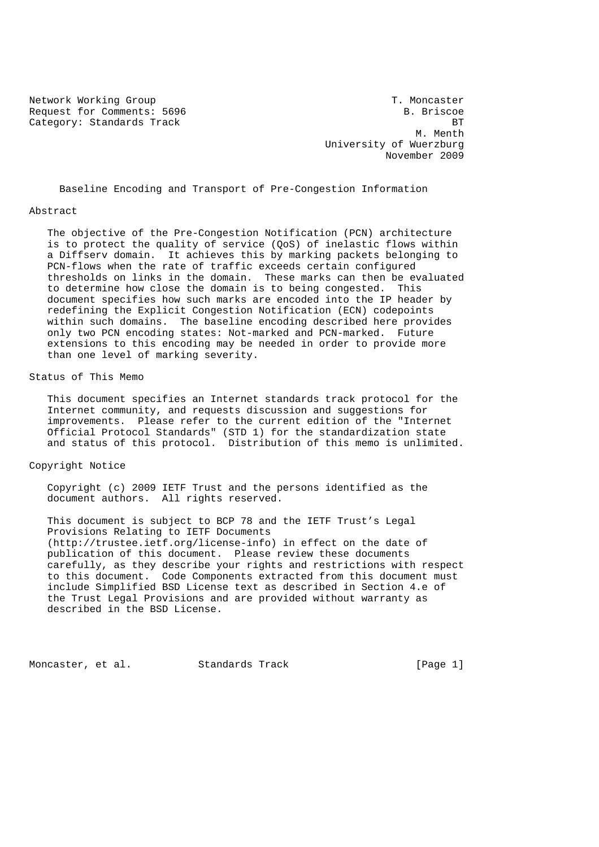Network Working Group T. Moncaster Request for Comments: 5696 B. Briscoe Category: Standards Track BT

M. Menth University of Wuerzburg November 2009

Baseline Encoding and Transport of Pre-Congestion Information

#### Abstract

 The objective of the Pre-Congestion Notification (PCN) architecture is to protect the quality of service (QoS) of inelastic flows within a Diffserv domain. It achieves this by marking packets belonging to PCN-flows when the rate of traffic exceeds certain configured thresholds on links in the domain. These marks can then be evaluated to determine how close the domain is to being congested. This document specifies how such marks are encoded into the IP header by redefining the Explicit Congestion Notification (ECN) codepoints within such domains. The baseline encoding described here provides only two PCN encoding states: Not-marked and PCN-marked. Future extensions to this encoding may be needed in order to provide more than one level of marking severity.

# Status of This Memo

 This document specifies an Internet standards track protocol for the Internet community, and requests discussion and suggestions for improvements. Please refer to the current edition of the "Internet Official Protocol Standards" (STD 1) for the standardization state and status of this protocol. Distribution of this memo is unlimited.

### Copyright Notice

 Copyright (c) 2009 IETF Trust and the persons identified as the document authors. All rights reserved.

 This document is subject to BCP 78 and the IETF Trust's Legal Provisions Relating to IETF Documents (http://trustee.ietf.org/license-info) in effect on the date of publication of this document. Please review these documents carefully, as they describe your rights and restrictions with respect to this document. Code Components extracted from this document must include Simplified BSD License text as described in Section 4.e of the Trust Legal Provisions and are provided without warranty as described in the BSD License.

Moncaster, et al. Standards Track [Page 1]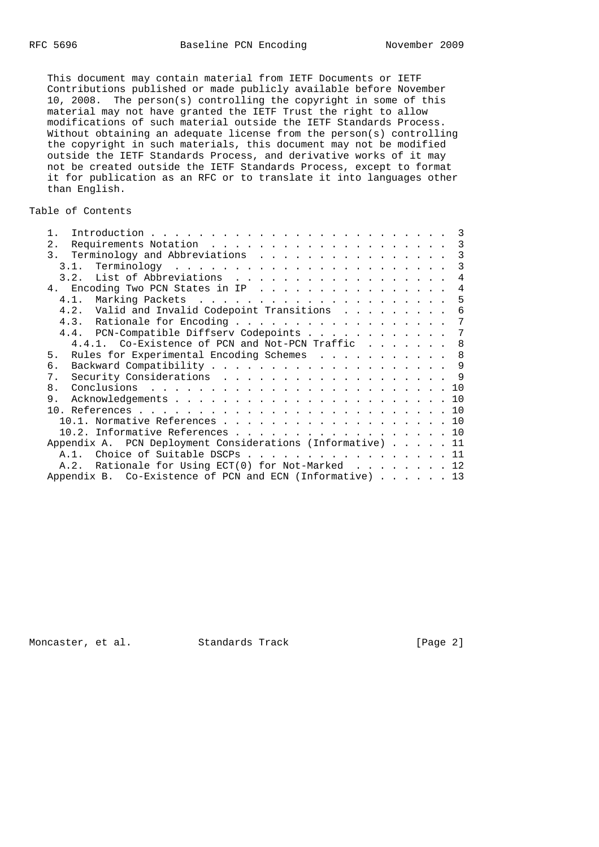This document may contain material from IETF Documents or IETF Contributions published or made publicly available before November 10, 2008. The person(s) controlling the copyright in some of this material may not have granted the IETF Trust the right to allow modifications of such material outside the IETF Standards Process. Without obtaining an adequate license from the person(s) controlling the copyright in such materials, this document may not be modified outside the IETF Standards Process, and derivative works of it may not be created outside the IETF Standards Process, except to format it for publication as an RFC or to translate it into languages other than English.

# Table of Contents

|                                                                     | 3              |
|---------------------------------------------------------------------|----------------|
| 2.                                                                  | $\overline{3}$ |
|                                                                     | 3              |
|                                                                     | 3              |
|                                                                     | $\overline{4}$ |
| 4. Encoding Two PCN States in IP                                    | $\overline{4}$ |
|                                                                     | -5             |
| 4.2. Valid and Invalid Codepoint Transitions                        | 6              |
|                                                                     | 7              |
| 4.4. PCN-Compatible Diffserv Codepoints                             | 7              |
| 4.4.1. Co-Existence of PCN and Not-PCN Traffic                      | - 8            |
| Rules for Experimental Encoding Schemes 8<br>5.                     |                |
| б.                                                                  |                |
| Security Considerations 9<br>7.                                     |                |
| 8.                                                                  |                |
| 9.                                                                  |                |
|                                                                     |                |
| 10.1. Normative References 10                                       |                |
| 10.2. Informative References 10                                     |                |
| Appendix A. PCN Deployment Considerations (Informative) 11          |                |
| A.1. Choice of Suitable DSCPs 11                                    |                |
| A.2. Rationale for Using $ECT(0)$ for Not-Marked 12                 |                |
| Appendix B. Co-Existence of PCN and ECN (Informative) $\ldots$ . 13 |                |
|                                                                     |                |

Moncaster, et al. Standards Track [Page 2]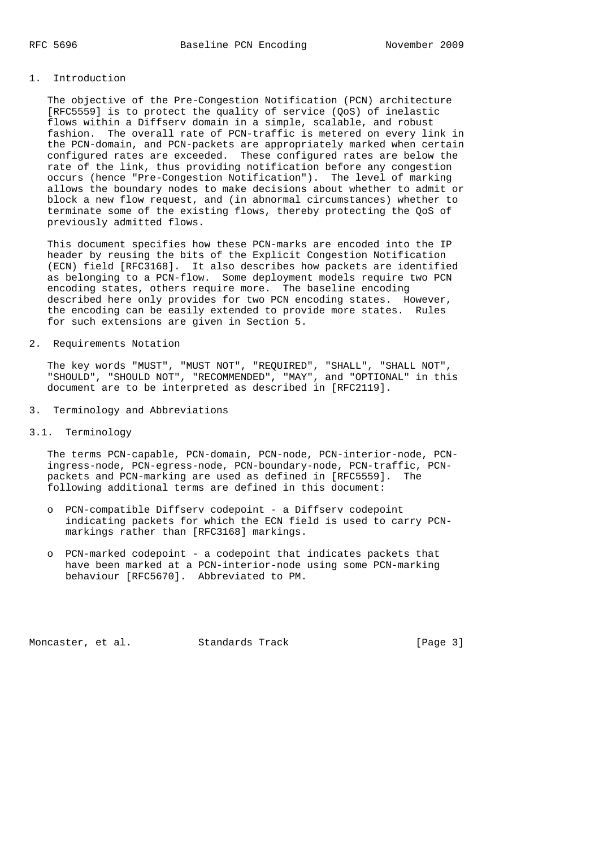# 1. Introduction

 The objective of the Pre-Congestion Notification (PCN) architecture [RFC5559] is to protect the quality of service (QoS) of inelastic flows within a Diffserv domain in a simple, scalable, and robust fashion. The overall rate of PCN-traffic is metered on every link in the PCN-domain, and PCN-packets are appropriately marked when certain configured rates are exceeded. These configured rates are below the rate of the link, thus providing notification before any congestion occurs (hence "Pre-Congestion Notification"). The level of marking allows the boundary nodes to make decisions about whether to admit or block a new flow request, and (in abnormal circumstances) whether to terminate some of the existing flows, thereby protecting the QoS of previously admitted flows.

 This document specifies how these PCN-marks are encoded into the IP header by reusing the bits of the Explicit Congestion Notification (ECN) field [RFC3168]. It also describes how packets are identified as belonging to a PCN-flow. Some deployment models require two PCN encoding states, others require more. The baseline encoding described here only provides for two PCN encoding states. However, the encoding can be easily extended to provide more states. Rules for such extensions are given in Section 5.

#### 2. Requirements Notation

 The key words "MUST", "MUST NOT", "REQUIRED", "SHALL", "SHALL NOT", "SHOULD", "SHOULD NOT", "RECOMMENDED", "MAY", and "OPTIONAL" in this document are to be interpreted as described in [RFC2119].

3. Terminology and Abbreviations

## 3.1. Terminology

 The terms PCN-capable, PCN-domain, PCN-node, PCN-interior-node, PCN ingress-node, PCN-egress-node, PCN-boundary-node, PCN-traffic, PCN packets and PCN-marking are used as defined in [RFC5559]. The following additional terms are defined in this document:

- o PCN-compatible Diffserv codepoint a Diffserv codepoint indicating packets for which the ECN field is used to carry PCN markings rather than [RFC3168] markings.
- o PCN-marked codepoint a codepoint that indicates packets that have been marked at a PCN-interior-node using some PCN-marking behaviour [RFC5670]. Abbreviated to PM.

Moncaster, et al. Standards Track [Page 3]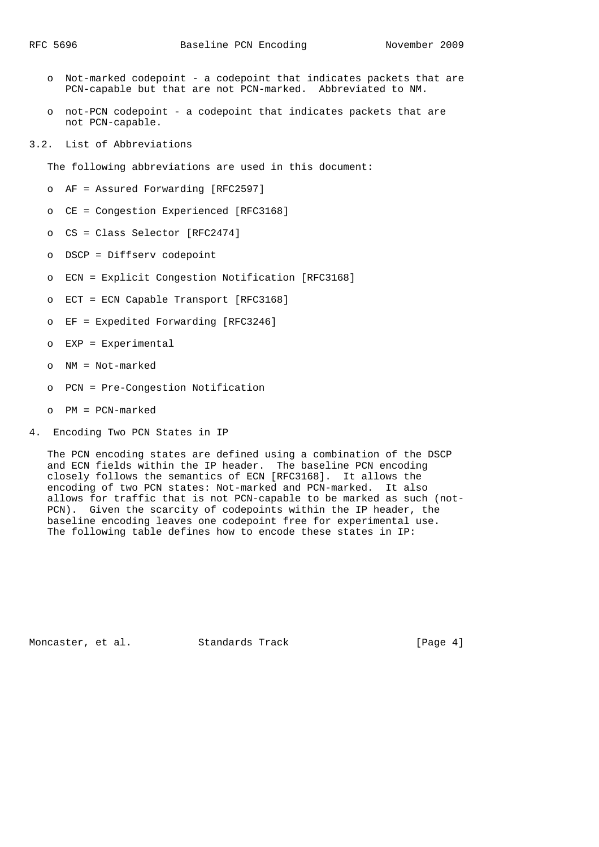- o Not-marked codepoint a codepoint that indicates packets that are PCN-capable but that are not PCN-marked. Abbreviated to NM.
- o not-PCN codepoint a codepoint that indicates packets that are not PCN-capable.
- 3.2. List of Abbreviations

The following abbreviations are used in this document:

- o AF = Assured Forwarding [RFC2597]
- o CE = Congestion Experienced [RFC3168]
- o CS = Class Selector [RFC2474]
- o DSCP = Diffserv codepoint
- o ECN = Explicit Congestion Notification [RFC3168]
- o ECT = ECN Capable Transport [RFC3168]
- o EF = Expedited Forwarding [RFC3246]
- o EXP = Experimental
- o NM = Not-marked
- o PCN = Pre-Congestion Notification
- o PM = PCN-marked
- 4. Encoding Two PCN States in IP

 The PCN encoding states are defined using a combination of the DSCP and ECN fields within the IP header. The baseline PCN encoding closely follows the semantics of ECN [RFC3168]. It allows the encoding of two PCN states: Not-marked and PCN-marked. It also allows for traffic that is not PCN-capable to be marked as such (not- PCN). Given the scarcity of codepoints within the IP header, the baseline encoding leaves one codepoint free for experimental use. The following table defines how to encode these states in IP:

Moncaster, et al. Standards Track [Page 4]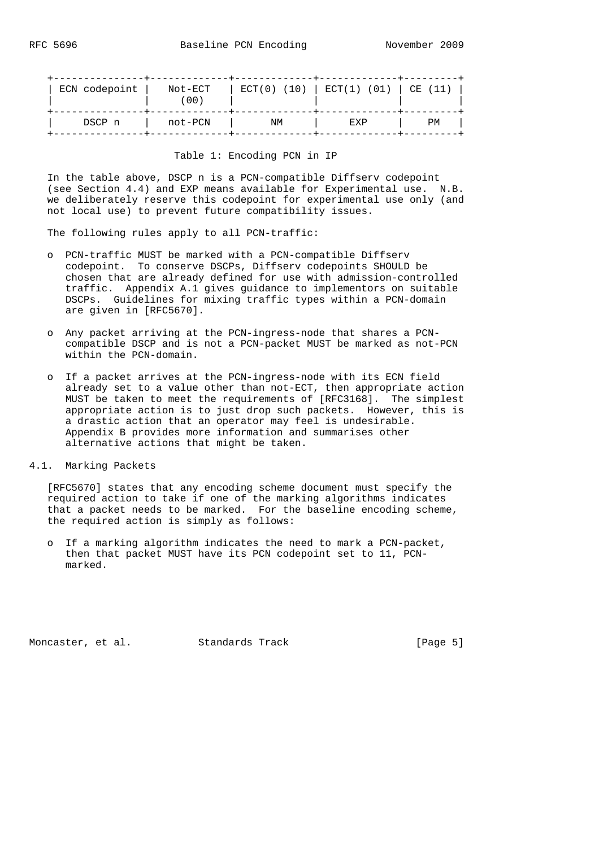| ECN codepoint | Not-ECT<br>00) | ECT(0) (10) | ECT(1) (01) | CE (11) |
|---------------|----------------|-------------|-------------|---------|
| DSCP n        | not-PCN        | ΝM          | EXP         | РM      |

### Table 1: Encoding PCN in IP

 In the table above, DSCP n is a PCN-compatible Diffserv codepoint (see Section 4.4) and EXP means available for Experimental use. N.B. we deliberately reserve this codepoint for experimental use only (and not local use) to prevent future compatibility issues.

The following rules apply to all PCN-traffic:

- o PCN-traffic MUST be marked with a PCN-compatible Diffserv codepoint. To conserve DSCPs, Diffserv codepoints SHOULD be chosen that are already defined for use with admission-controlled traffic. Appendix A.1 gives guidance to implementors on suitable DSCPs. Guidelines for mixing traffic types within a PCN-domain are given in [RFC5670].
- o Any packet arriving at the PCN-ingress-node that shares a PCN compatible DSCP and is not a PCN-packet MUST be marked as not-PCN within the PCN-domain.
- o If a packet arrives at the PCN-ingress-node with its ECN field already set to a value other than not-ECT, then appropriate action MUST be taken to meet the requirements of [RFC3168]. The simplest appropriate action is to just drop such packets. However, this is a drastic action that an operator may feel is undesirable. Appendix B provides more information and summarises other alternative actions that might be taken.
- 4.1. Marking Packets

 [RFC5670] states that any encoding scheme document must specify the required action to take if one of the marking algorithms indicates that a packet needs to be marked. For the baseline encoding scheme, the required action is simply as follows:

 o If a marking algorithm indicates the need to mark a PCN-packet, then that packet MUST have its PCN codepoint set to 11, PCN marked.

Moncaster, et al. Standards Track [Page 5]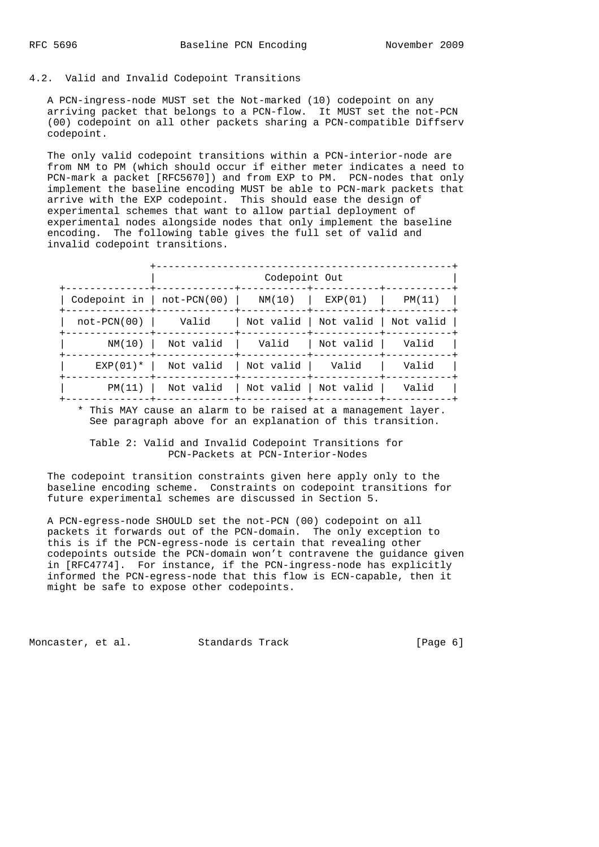#### 4.2. Valid and Invalid Codepoint Transitions

 A PCN-ingress-node MUST set the Not-marked (10) codepoint on any arriving packet that belongs to a PCN-flow. It MUST set the not-PCN (00) codepoint on all other packets sharing a PCN-compatible Diffserv codepoint.

 The only valid codepoint transitions within a PCN-interior-node are from NM to PM (which should occur if either meter indicates a need to PCN-mark a packet [RFC5670]) and from EXP to PM. PCN-nodes that only implement the baseline encoding MUST be able to PCN-mark packets that arrive with the EXP codepoint. This should ease the design of experimental schemes that want to allow partial deployment of experimental nodes alongside nodes that only implement the baseline encoding. The following table gives the full set of valid and invalid codepoint transitions.

|                  | Codepoint Out                                |                                |                                   |        |  |
|------------------|----------------------------------------------|--------------------------------|-----------------------------------|--------|--|
|                  | $Codepoint$ in   not-PCN(00)   NM(10)        |                                | EXP(01)                           | PM(11) |  |
| $not$ $-PCN(00)$ | Valid                                        |                                | Not valid   Not valid   Not valid |        |  |
|                  | $NM(10)$   Not valid                         | Valid                          | Not valid                         | Valid  |  |
|                  | $EXP(01)*$ Not valid                         | Not valid     Valid            |                                   | Valid  |  |
|                  | $PM(11)$   Not valid   Not valid   Not valid | -----+------------+----------- |                                   | Valid  |  |

 \* This MAY cause an alarm to be raised at a management layer. See paragraph above for an explanation of this transition.

### Table 2: Valid and Invalid Codepoint Transitions for PCN-Packets at PCN-Interior-Nodes

 The codepoint transition constraints given here apply only to the baseline encoding scheme. Constraints on codepoint transitions for future experimental schemes are discussed in Section 5.

 A PCN-egress-node SHOULD set the not-PCN (00) codepoint on all packets it forwards out of the PCN-domain. The only exception to this is if the PCN-egress-node is certain that revealing other codepoints outside the PCN-domain won't contravene the guidance given in [RFC4774]. For instance, if the PCN-ingress-node has explicitly informed the PCN-egress-node that this flow is ECN-capable, then it might be safe to expose other codepoints.

Moncaster, et al. Standards Track [Page 6]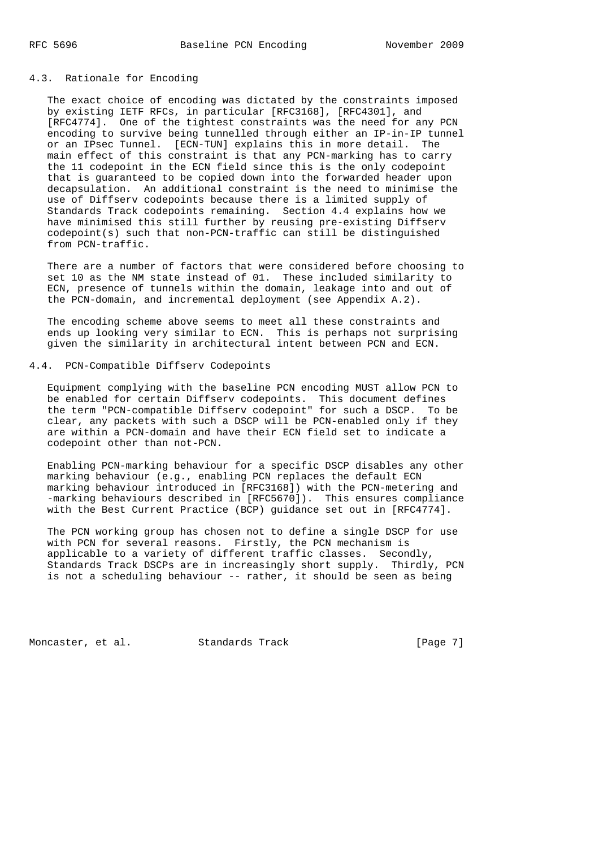# 4.3. Rationale for Encoding

 The exact choice of encoding was dictated by the constraints imposed by existing IETF RFCs, in particular [RFC3168], [RFC4301], and [RFC4774]. One of the tightest constraints was the need for any PCN encoding to survive being tunnelled through either an IP-in-IP tunnel or an IPsec Tunnel. [ECN-TUN] explains this in more detail. The main effect of this constraint is that any PCN-marking has to carry the 11 codepoint in the ECN field since this is the only codepoint that is guaranteed to be copied down into the forwarded header upon decapsulation. An additional constraint is the need to minimise the use of Diffserv codepoints because there is a limited supply of Standards Track codepoints remaining. Section 4.4 explains how we have minimised this still further by reusing pre-existing Diffserv codepoint(s) such that non-PCN-traffic can still be distinguished from PCN-traffic.

 There are a number of factors that were considered before choosing to set 10 as the NM state instead of 01. These included similarity to ECN, presence of tunnels within the domain, leakage into and out of the PCN-domain, and incremental deployment (see Appendix A.2).

 The encoding scheme above seems to meet all these constraints and ends up looking very similar to ECN. This is perhaps not surprising given the similarity in architectural intent between PCN and ECN.

### 4.4. PCN-Compatible Diffserv Codepoints

 Equipment complying with the baseline PCN encoding MUST allow PCN to be enabled for certain Diffserv codepoints. This document defines the term "PCN-compatible Diffserv codepoint" for such a DSCP. To be clear, any packets with such a DSCP will be PCN-enabled only if they are within a PCN-domain and have their ECN field set to indicate a codepoint other than not-PCN.

 Enabling PCN-marking behaviour for a specific DSCP disables any other marking behaviour (e.g., enabling PCN replaces the default ECN marking behaviour introduced in [RFC3168]) with the PCN-metering and -marking behaviours described in [RFC5670]). This ensures compliance with the Best Current Practice (BCP) guidance set out in [RFC4774].

 The PCN working group has chosen not to define a single DSCP for use with PCN for several reasons. Firstly, the PCN mechanism is applicable to a variety of different traffic classes. Secondly, Standards Track DSCPs are in increasingly short supply. Thirdly, PCN is not a scheduling behaviour -- rather, it should be seen as being

Moncaster, et al. Standards Track [Page 7]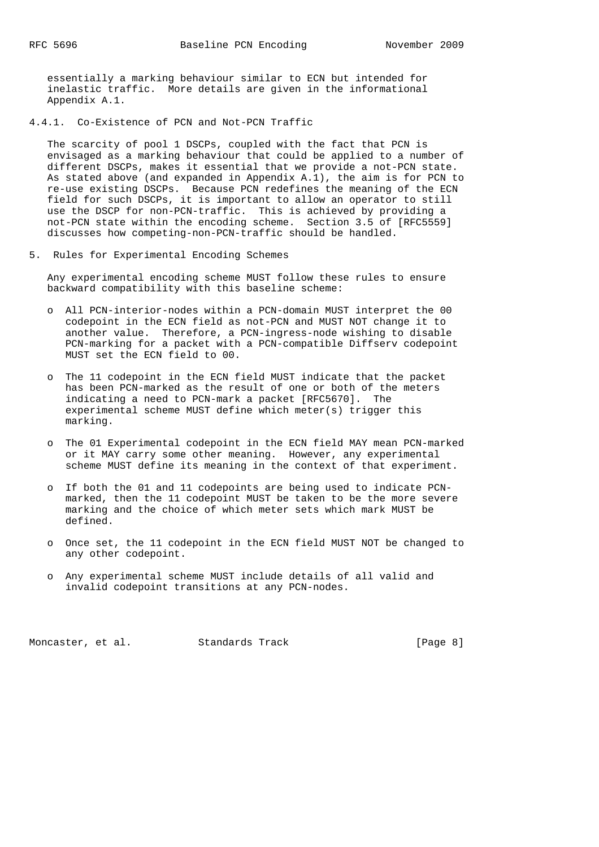essentially a marking behaviour similar to ECN but intended for inelastic traffic. More details are given in the informational Appendix A.1.

4.4.1. Co-Existence of PCN and Not-PCN Traffic

 The scarcity of pool 1 DSCPs, coupled with the fact that PCN is envisaged as a marking behaviour that could be applied to a number of different DSCPs, makes it essential that we provide a not-PCN state. As stated above (and expanded in Appendix A.1), the aim is for PCN to re-use existing DSCPs. Because PCN redefines the meaning of the ECN field for such DSCPs, it is important to allow an operator to still use the DSCP for non-PCN-traffic. This is achieved by providing a not-PCN state within the encoding scheme. Section 3.5 of [RFC5559] discusses how competing-non-PCN-traffic should be handled.

5. Rules for Experimental Encoding Schemes

 Any experimental encoding scheme MUST follow these rules to ensure backward compatibility with this baseline scheme:

- o All PCN-interior-nodes within a PCN-domain MUST interpret the 00 codepoint in the ECN field as not-PCN and MUST NOT change it to another value. Therefore, a PCN-ingress-node wishing to disable PCN-marking for a packet with a PCN-compatible Diffserv codepoint MUST set the ECN field to 00.
	- o The 11 codepoint in the ECN field MUST indicate that the packet has been PCN-marked as the result of one or both of the meters indicating a need to PCN-mark a packet [RFC5670]. The experimental scheme MUST define which meter(s) trigger this marking.
	- o The 01 Experimental codepoint in the ECN field MAY mean PCN-marked or it MAY carry some other meaning. However, any experimental scheme MUST define its meaning in the context of that experiment.
	- o If both the 01 and 11 codepoints are being used to indicate PCN marked, then the 11 codepoint MUST be taken to be the more severe marking and the choice of which meter sets which mark MUST be defined.
	- o Once set, the 11 codepoint in the ECN field MUST NOT be changed to any other codepoint.
	- o Any experimental scheme MUST include details of all valid and invalid codepoint transitions at any PCN-nodes.

Moncaster, et al. Standards Track [Page 8]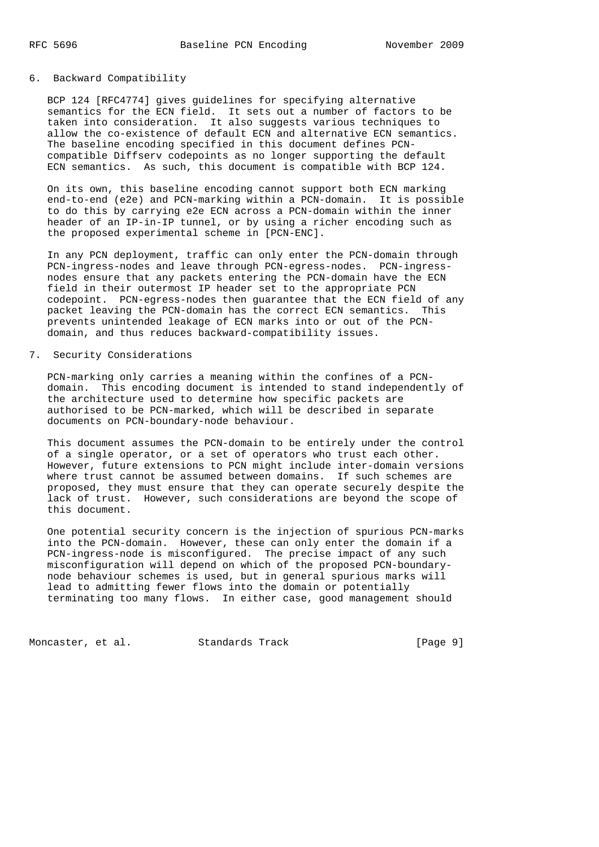### 6. Backward Compatibility

 BCP 124 [RFC4774] gives guidelines for specifying alternative semantics for the ECN field. It sets out a number of factors to be taken into consideration. It also suggests various techniques to allow the co-existence of default ECN and alternative ECN semantics. The baseline encoding specified in this document defines PCN compatible Diffserv codepoints as no longer supporting the default ECN semantics. As such, this document is compatible with BCP 124.

 On its own, this baseline encoding cannot support both ECN marking end-to-end (e2e) and PCN-marking within a PCN-domain. It is possible to do this by carrying e2e ECN across a PCN-domain within the inner header of an IP-in-IP tunnel, or by using a richer encoding such as the proposed experimental scheme in [PCN-ENC].

 In any PCN deployment, traffic can only enter the PCN-domain through PCN-ingress-nodes and leave through PCN-egress-nodes. PCN-ingress nodes ensure that any packets entering the PCN-domain have the ECN field in their outermost IP header set to the appropriate PCN codepoint. PCN-egress-nodes then guarantee that the ECN field of any packet leaving the PCN-domain has the correct ECN semantics. This prevents unintended leakage of ECN marks into or out of the PCN domain, and thus reduces backward-compatibility issues.

# 7. Security Considerations

 PCN-marking only carries a meaning within the confines of a PCN domain. This encoding document is intended to stand independently of the architecture used to determine how specific packets are authorised to be PCN-marked, which will be described in separate documents on PCN-boundary-node behaviour.

 This document assumes the PCN-domain to be entirely under the control of a single operator, or a set of operators who trust each other. However, future extensions to PCN might include inter-domain versions where trust cannot be assumed between domains. If such schemes are proposed, they must ensure that they can operate securely despite the lack of trust. However, such considerations are beyond the scope of this document.

 One potential security concern is the injection of spurious PCN-marks into the PCN-domain. However, these can only enter the domain if a PCN-ingress-node is misconfigured. The precise impact of any such misconfiguration will depend on which of the proposed PCN-boundary node behaviour schemes is used, but in general spurious marks will lead to admitting fewer flows into the domain or potentially terminating too many flows. In either case, good management should

Moncaster, et al. Standards Track [Page 9]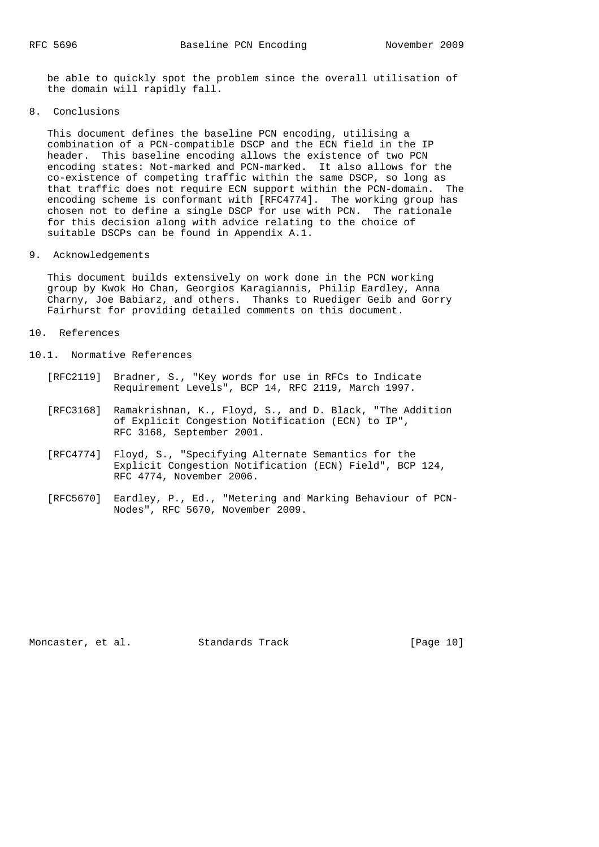be able to quickly spot the problem since the overall utilisation of the domain will rapidly fall.

8. Conclusions

 This document defines the baseline PCN encoding, utilising a combination of a PCN-compatible DSCP and the ECN field in the IP header. This baseline encoding allows the existence of two PCN encoding states: Not-marked and PCN-marked. It also allows for the co-existence of competing traffic within the same DSCP, so long as that traffic does not require ECN support within the PCN-domain. The encoding scheme is conformant with [RFC4774]. The working group has chosen not to define a single DSCP for use with PCN. The rationale for this decision along with advice relating to the choice of suitable DSCPs can be found in Appendix A.1.

9. Acknowledgements

 This document builds extensively on work done in the PCN working group by Kwok Ho Chan, Georgios Karagiannis, Philip Eardley, Anna Charny, Joe Babiarz, and others. Thanks to Ruediger Geib and Gorry Fairhurst for providing detailed comments on this document.

- 10. References
- 10.1. Normative References
	- [RFC2119] Bradner, S., "Key words for use in RFCs to Indicate Requirement Levels", BCP 14, RFC 2119, March 1997.
	- [RFC3168] Ramakrishnan, K., Floyd, S., and D. Black, "The Addition of Explicit Congestion Notification (ECN) to IP", RFC 3168, September 2001.
	- [RFC4774] Floyd, S., "Specifying Alternate Semantics for the Explicit Congestion Notification (ECN) Field", BCP 124, RFC 4774, November 2006.
- [RFC5670] Eardley, P., Ed., "Metering and Marking Behaviour of PCN- Nodes", RFC 5670, November 2009.

Moncaster, et al. Standards Track [Page 10]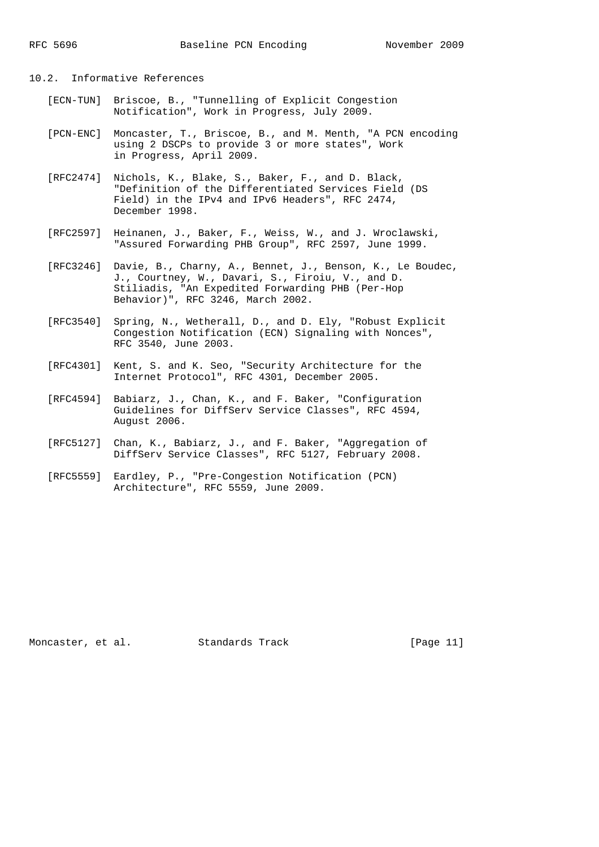# 10.2. Informative References

- [ECN-TUN] Briscoe, B., "Tunnelling of Explicit Congestion Notification", Work in Progress, July 2009.
- [PCN-ENC] Moncaster, T., Briscoe, B., and M. Menth, "A PCN encoding using 2 DSCPs to provide 3 or more states", Work in Progress, April 2009.
- [RFC2474] Nichols, K., Blake, S., Baker, F., and D. Black, "Definition of the Differentiated Services Field (DS Field) in the IPv4 and IPv6 Headers", RFC 2474, December 1998.
- [RFC2597] Heinanen, J., Baker, F., Weiss, W., and J. Wroclawski, "Assured Forwarding PHB Group", RFC 2597, June 1999.
- [RFC3246] Davie, B., Charny, A., Bennet, J., Benson, K., Le Boudec, J., Courtney, W., Davari, S., Firoiu, V., and D. Stiliadis, "An Expedited Forwarding PHB (Per-Hop Behavior)", RFC 3246, March 2002.
	- [RFC3540] Spring, N., Wetherall, D., and D. Ely, "Robust Explicit Congestion Notification (ECN) Signaling with Nonces", RFC 3540, June 2003.
	- [RFC4301] Kent, S. and K. Seo, "Security Architecture for the Internet Protocol", RFC 4301, December 2005.
	- [RFC4594] Babiarz, J., Chan, K., and F. Baker, "Configuration Guidelines for DiffServ Service Classes", RFC 4594, August 2006.
	- [RFC5127] Chan, K., Babiarz, J., and F. Baker, "Aggregation of DiffServ Service Classes", RFC 5127, February 2008.
	- [RFC5559] Eardley, P., "Pre-Congestion Notification (PCN) Architecture", RFC 5559, June 2009.

Moncaster, et al. Standards Track [Page 11]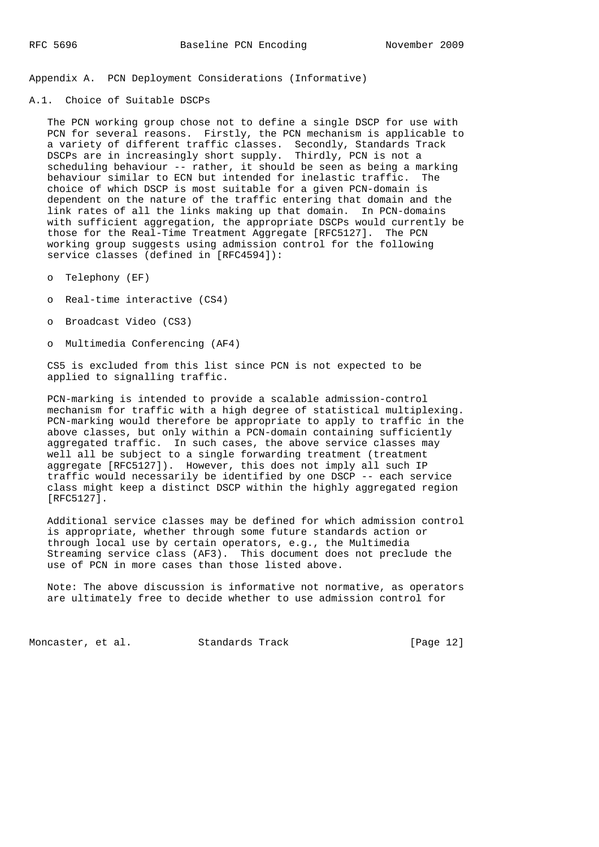Appendix A. PCN Deployment Considerations (Informative)

A.1. Choice of Suitable DSCPs

 The PCN working group chose not to define a single DSCP for use with PCN for several reasons. Firstly, the PCN mechanism is applicable to a variety of different traffic classes. Secondly, Standards Track DSCPs are in increasingly short supply. Thirdly, PCN is not a scheduling behaviour  $-$ - rather, it should be seen as being a marking behaviour similar to ECN but intended for inelastic traffic. The choice of which DSCP is most suitable for a given PCN-domain is dependent on the nature of the traffic entering that domain and the link rates of all the links making up that domain. In PCN-domains with sufficient aggregation, the appropriate DSCPs would currently be those for the Real-Time Treatment Aggregate [RFC5127]. The PCN working group suggests using admission control for the following service classes (defined in [RFC4594]):

- o Telephony (EF)
- o Real-time interactive (CS4)
- o Broadcast Video (CS3)
- o Multimedia Conferencing (AF4)

 CS5 is excluded from this list since PCN is not expected to be applied to signalling traffic.

 PCN-marking is intended to provide a scalable admission-control mechanism for traffic with a high degree of statistical multiplexing. PCN-marking would therefore be appropriate to apply to traffic in the above classes, but only within a PCN-domain containing sufficiently aggregated traffic. In such cases, the above service classes may well all be subject to a single forwarding treatment (treatment aggregate [RFC5127]). However, this does not imply all such IP traffic would necessarily be identified by one DSCP -- each service class might keep a distinct DSCP within the highly aggregated region [RFC5127].

 Additional service classes may be defined for which admission control is appropriate, whether through some future standards action or through local use by certain operators, e.g., the Multimedia Streaming service class (AF3). This document does not preclude the use of PCN in more cases than those listed above.

 Note: The above discussion is informative not normative, as operators are ultimately free to decide whether to use admission control for

Moncaster, et al. Standards Track [Page 12]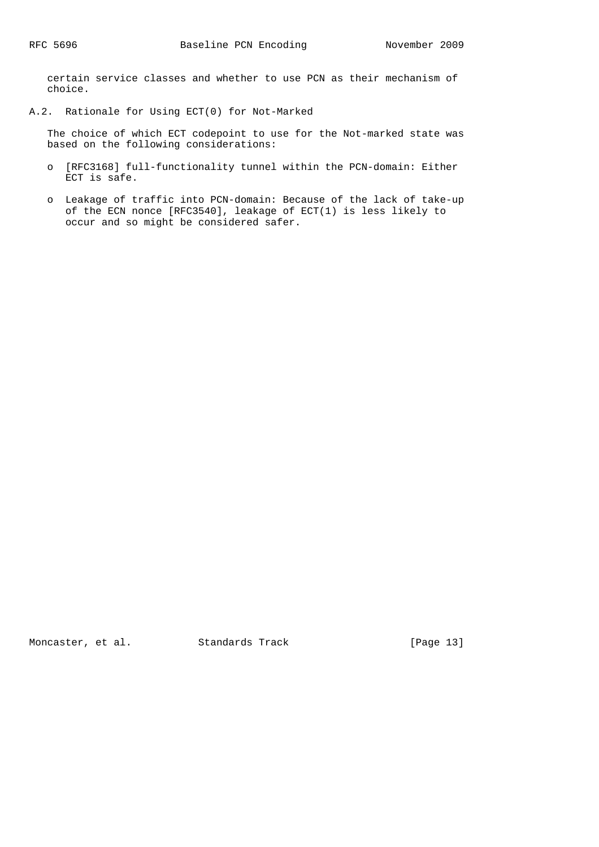certain service classes and whether to use PCN as their mechanism of choice.

A.2. Rationale for Using ECT(0) for Not-Marked

 The choice of which ECT codepoint to use for the Not-marked state was based on the following considerations:

- o [RFC3168] full-functionality tunnel within the PCN-domain: Either ECT is safe.
- o Leakage of traffic into PCN-domain: Because of the lack of take-up of the ECN nonce [RFC3540], leakage of ECT(1) is less likely to occur and so might be considered safer.

Moncaster, et al. Standards Track [Page 13]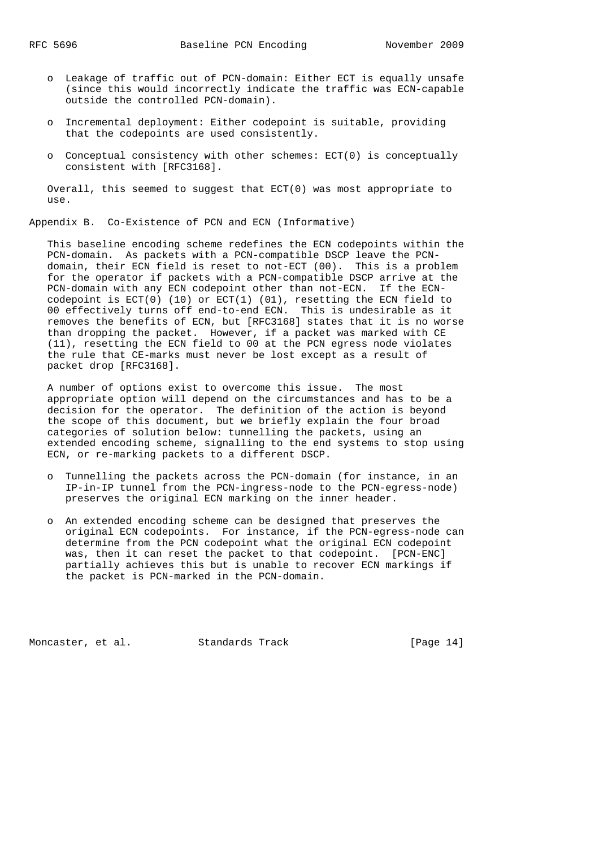- o Leakage of traffic out of PCN-domain: Either ECT is equally unsafe (since this would incorrectly indicate the traffic was ECN-capable outside the controlled PCN-domain).
- o Incremental deployment: Either codepoint is suitable, providing that the codepoints are used consistently.
- o Conceptual consistency with other schemes: ECT(0) is conceptually consistent with [RFC3168].

 Overall, this seemed to suggest that ECT(0) was most appropriate to use.

Appendix B. Co-Existence of PCN and ECN (Informative)

 This baseline encoding scheme redefines the ECN codepoints within the PCN-domain. As packets with a PCN-compatible DSCP leave the PCN domain, their ECN field is reset to not-ECT (00). This is a problem for the operator if packets with a PCN-compatible DSCP arrive at the PCN-domain with any ECN codepoint other than not-ECN. If the ECN codepoint is ECT(0) (10) or ECT(1) (01), resetting the ECN field to 00 effectively turns off end-to-end ECN. This is undesirable as it removes the benefits of ECN, but [RFC3168] states that it is no worse than dropping the packet. However, if a packet was marked with CE (11), resetting the ECN field to 00 at the PCN egress node violates the rule that CE-marks must never be lost except as a result of packet drop [RFC3168].

 A number of options exist to overcome this issue. The most appropriate option will depend on the circumstances and has to be a decision for the operator. The definition of the action is beyond the scope of this document, but we briefly explain the four broad categories of solution below: tunnelling the packets, using an extended encoding scheme, signalling to the end systems to stop using ECN, or re-marking packets to a different DSCP.

- o Tunnelling the packets across the PCN-domain (for instance, in an IP-in-IP tunnel from the PCN-ingress-node to the PCN-egress-node) preserves the original ECN marking on the inner header.
- o An extended encoding scheme can be designed that preserves the original ECN codepoints. For instance, if the PCN-egress-node can determine from the PCN codepoint what the original ECN codepoint was, then it can reset the packet to that codepoint. [PCN-ENC] partially achieves this but is unable to recover ECN markings if the packet is PCN-marked in the PCN-domain.

Moncaster, et al. Standards Track [Page 14]